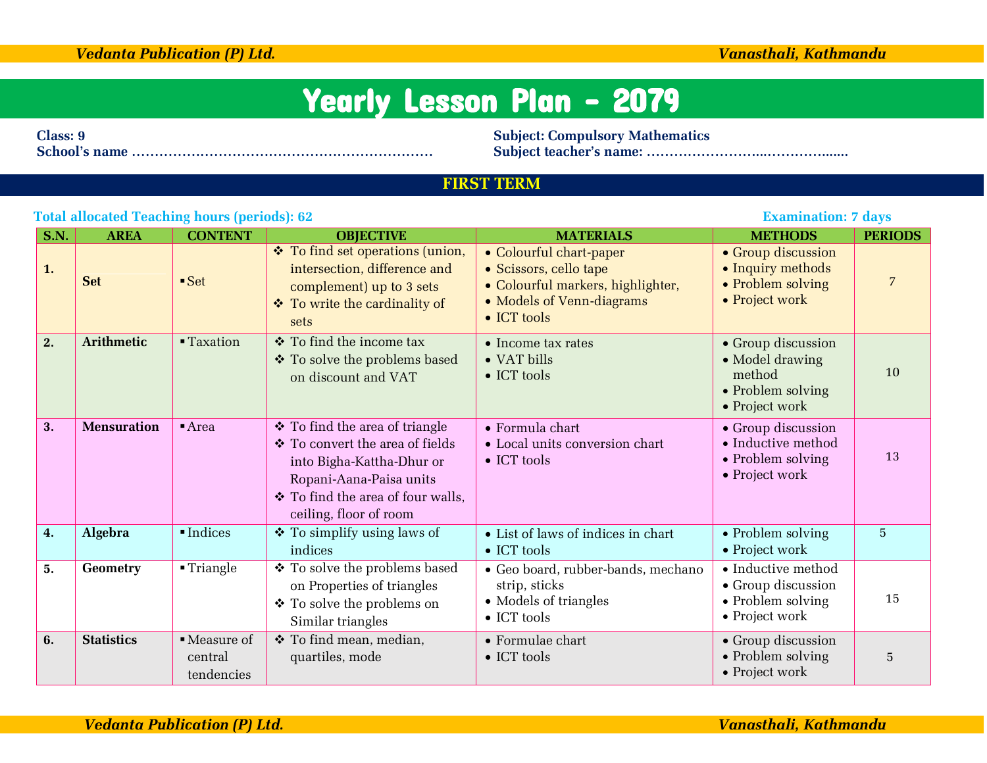|             | <b>Total allocated Teaching hours (periods): 62</b><br><b>Examination: 7 days</b> |                         |                                                                                                                                                                                               |                                                                                                                                            |                                                                                        |                |  |
|-------------|-----------------------------------------------------------------------------------|-------------------------|-----------------------------------------------------------------------------------------------------------------------------------------------------------------------------------------------|--------------------------------------------------------------------------------------------------------------------------------------------|----------------------------------------------------------------------------------------|----------------|--|
| <b>S.N.</b> | <b>AREA</b>                                                                       | <b>CONTENT</b>          | <b>OBJECTIVE</b>                                                                                                                                                                              | <b>MATERIALS</b>                                                                                                                           | <b>METHODS</b>                                                                         | <b>PERIODS</b> |  |
| 1.          | <b>Set</b>                                                                        | $-$ Set                 | ❖ To find set operations (union,<br>intersection, difference and<br>complement) up to 3 sets<br>❖ To write the cardinality of<br>sets                                                         | • Colourful chart-paper<br>• Scissors, cello tape<br>• Colourful markers, highlighter,<br>• Models of Venn-diagrams<br>$\bullet$ ICT tools | • Group discussion<br>• Inquiry methods<br>• Problem solving<br>• Project work         | $\overline{7}$ |  |
| 2.          | <b>Arithmetic</b>                                                                 | <b>Taxation</b>         | ❖ To find the income tax<br>❖ To solve the problems based<br>on discount and VAT                                                                                                              | $\bullet$ Income tax rates<br>• VAT bills<br>$\bullet$ ICT tools                                                                           | • Group discussion<br>• Model drawing<br>method<br>• Problem solving<br>• Project work | 10             |  |
| 3.          | <b>Mensuration</b>                                                                | Area                    | ❖ To find the area of triangle<br>❖ To convert the area of fields<br>into Bigha-Kattha-Dhur or<br>Ropani-Aana-Paisa units<br>$\div$ To find the area of four walls,<br>ceiling, floor of room | • Formula chart<br>• Local units conversion chart<br>$\bullet$ ICT tools                                                                   | • Group discussion<br>• Inductive method<br>• Problem solving<br>• Project work        | 13             |  |
| 4.          | Algebra                                                                           | $\blacksquare$ Indices  | $\div$ To simplify using laws of<br>indices                                                                                                                                                   | • List of laws of indices in chart<br>$\bullet$ ICT tools                                                                                  | • Problem solving<br>• Project work                                                    | $\overline{5}$ |  |
| 5.          | <b>Geometry</b>                                                                   | $\blacksquare$ Triangle | ❖ To solve the problems based                                                                                                                                                                 | • Geo board, rubber-bands, mechano                                                                                                         | • Inductive method                                                                     |                |  |

strip, sticks • Models of triangles

Formulae chart

 $\bullet$  ICT tools

 $\bullet$  ICT tools

on Properties of triangles To solve the problems on Similar triangles

 To find mean, median, quartiles, mode

| Class: 9 |  |  |
|----------|--|--|
|          |  |  |

**Class: 9 Subject: Compulsory Mathematics**

**School's name ………………………………………………………… Subject teacher's name: ……………………...………….......**

### **FIRST TERM**

## *Vedanta Publication (P) Ltd. Vanasthali, Kathmandu*

central tendencies

**6.** Statistics Measure of

• Inductive method Group discussion • Problem solving Project work

 Group discussion • Problem solving Project work

## *Vedanta Publication (P) Ltd. Vanasthali, Kathmandu*

15

5

# Yearly Lesson Plan - 2079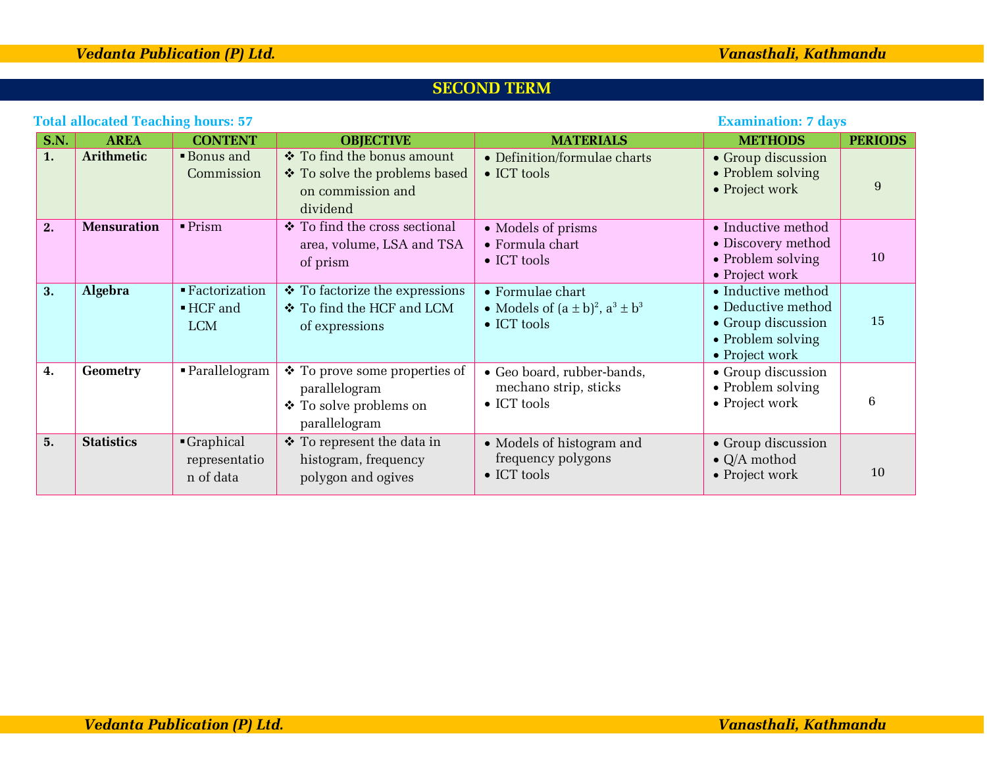## **SECOND TERM**

|             | Total allocated Teaching Hours: 37<br>вланниации; / цауэ |                                                                      |                                                                                              |                                                                                      |                                                                                                       |                |  |
|-------------|----------------------------------------------------------|----------------------------------------------------------------------|----------------------------------------------------------------------------------------------|--------------------------------------------------------------------------------------|-------------------------------------------------------------------------------------------------------|----------------|--|
| <b>S.N.</b> | <b>AREA</b>                                              | <b>CONTENT</b>                                                       | <b>OBJECTIVE</b>                                                                             | <b>MATERIALS</b>                                                                     | <b>METHODS</b>                                                                                        | <b>PERIODS</b> |  |
| 1.          | <b>Arithmetic</b>                                        | <b>Bonus</b> and<br>Commission                                       | ❖ To find the bonus amount<br>❖ To solve the problems based<br>on commission and<br>dividend | • Definition/formulae charts<br>$\bullet$ ICT tools                                  | • Group discussion<br>• Problem solving<br>• Project work                                             | 9              |  |
| 2.          | <b>Mensuration</b>                                       | $\blacksquare$ Prism                                                 | ❖ To find the cross sectional<br>area, volume, LSA and TSA<br>of prism                       | • Models of prisms<br>• Formula chart<br>$\bullet$ ICT tools                         | • Inductive method<br>• Discovery method<br>• Problem solving<br>• Project work                       | 10             |  |
| 3.          | Algebra                                                  | $\blacksquare$ Factorization<br>$\blacksquare$ HCF and<br><b>LCM</b> | ❖ To factorize the expressions<br>❖ To find the HCF and LCM<br>of expressions                | • Formulae chart<br>• Models of $(a \pm b)^2$ , $a^3 \pm b^3$<br>$\bullet$ ICT tools | • Inductive method<br>• Deductive method<br>• Group discussion<br>• Problem solving<br>• Project work | 15             |  |
| 4.          | <b>Geometry</b>                                          | • Parallelogram                                                      | ❖ To prove some properties of<br>parallelogram<br>❖ To solve problems on<br>parallelogram    | • Geo board, rubber-bands,<br>mechano strip, sticks<br>$\bullet$ ICT tools           | • Group discussion<br>$\bullet$ Problem solving<br>• Project work                                     | 6              |  |
| 5.          | <b>Statistics</b>                                        | Graphical<br>representatio<br>n of data                              | ❖ To represent the data in<br>histogram, frequency<br>polygon and ogives                     | • Models of histogram and<br>frequency polygons<br>$\bullet$ ICT tools               | • Group discussion<br>$\bullet$ Q/A mothod<br>• Project work                                          | 10             |  |

## **Total allocated Teaching hours: 57 Examination: 7 days**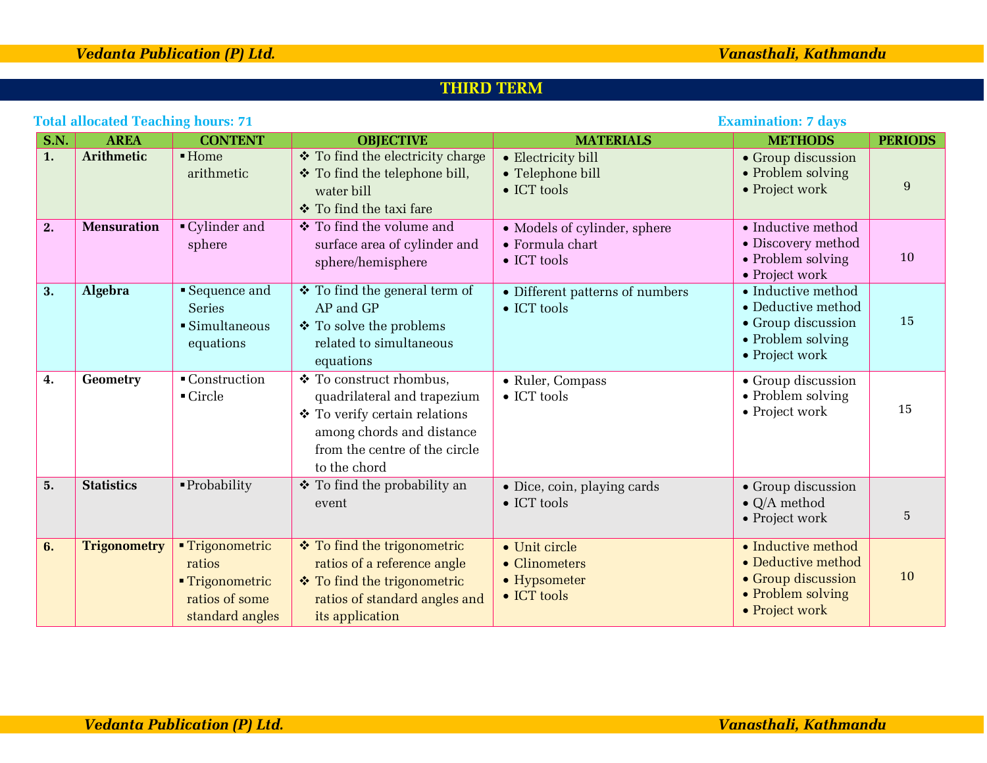## **THIRD TERM**

| <b>Total allocated Teaching hours: 71</b> |                     |                                                                                   |                                                                                                                                                                       | <b>Examination: 7 days</b>                                             |                                                                                                                               |                |
|-------------------------------------------|---------------------|-----------------------------------------------------------------------------------|-----------------------------------------------------------------------------------------------------------------------------------------------------------------------|------------------------------------------------------------------------|-------------------------------------------------------------------------------------------------------------------------------|----------------|
| <b>S.N.</b>                               | <b>AREA</b>         | <b>CONTENT</b>                                                                    | <b>OBJECTIVE</b>                                                                                                                                                      | <b>MATERIALS</b>                                                       | <b>METHODS</b>                                                                                                                | <b>PERIODS</b> |
| 1.                                        | <b>Arithmetic</b>   | $\blacksquare$ Home<br>arithmetic                                                 | ❖ To find the electricity charge<br>❖ To find the telephone bill,<br>water bill<br>❖ To find the taxi fare                                                            | • Electricity bill<br>• Telephone bill<br>$\bullet$ ICT tools          | • Group discussion<br>• Problem solving<br>• Project work                                                                     | 9              |
| 2.                                        | <b>Mensuration</b>  | • Cylinder and<br>sphere                                                          | ❖ To find the volume and<br>surface area of cylinder and<br>sphere/hemisphere                                                                                         | • Models of cylinder, sphere<br>• Formula chart<br>$\bullet$ ICT tools | • Inductive method<br>• Discovery method<br>• Problem solving<br>• Project work                                               | 10             |
| 3.                                        | <b>Algebra</b>      | • Sequence and<br><b>Series</b><br>$\blacksquare$ Simultaneous<br>equations       | ❖ To find the general term of<br>AP and GP<br>❖ To solve the problems<br>related to simultaneous<br>equations                                                         | • Different patterns of numbers<br>$\bullet$ ICT tools                 | $\bullet$ Inductive method<br>$\bullet$ Deductive method<br>$\bullet$ Group discussion<br>• Problem solving<br>• Project work | 15             |
| 4.                                        | Geometry            | ■ Construction<br>$\blacksquare$ Circle                                           | ❖ To construct rhombus,<br>quadrilateral and trapezium<br>❖ To verify certain relations<br>among chords and distance<br>from the centre of the circle<br>to the chord | • Ruler, Compass<br>$\bullet$ ICT tools                                | • Group discussion<br>• Problem solving<br>• Project work                                                                     | 15             |
| 5.                                        | <b>Statistics</b>   | $\blacksquare$ Probability                                                        | ❖ To find the probability an<br>event                                                                                                                                 | • Dice, coin, playing cards<br>$\bullet$ ICT tools                     | • Group discussion<br>$\bullet$ Q/A method<br>• Project work                                                                  | 5              |
| 6.                                        | <b>Trigonometry</b> | ■ Trigonometric<br>ratios<br>■ Trigonometric<br>ratios of some<br>standard angles | ❖ To find the trigonometric<br>ratios of a reference angle<br>❖ To find the trigonometric<br>ratios of standard angles and<br>its application                         | • Unit circle<br>• Clinometers<br>• Hypsometer<br>• ICT tools          | • Inductive method<br>• Deductive method<br>• Group discussion<br>• Problem solving<br>• Project work                         | 10             |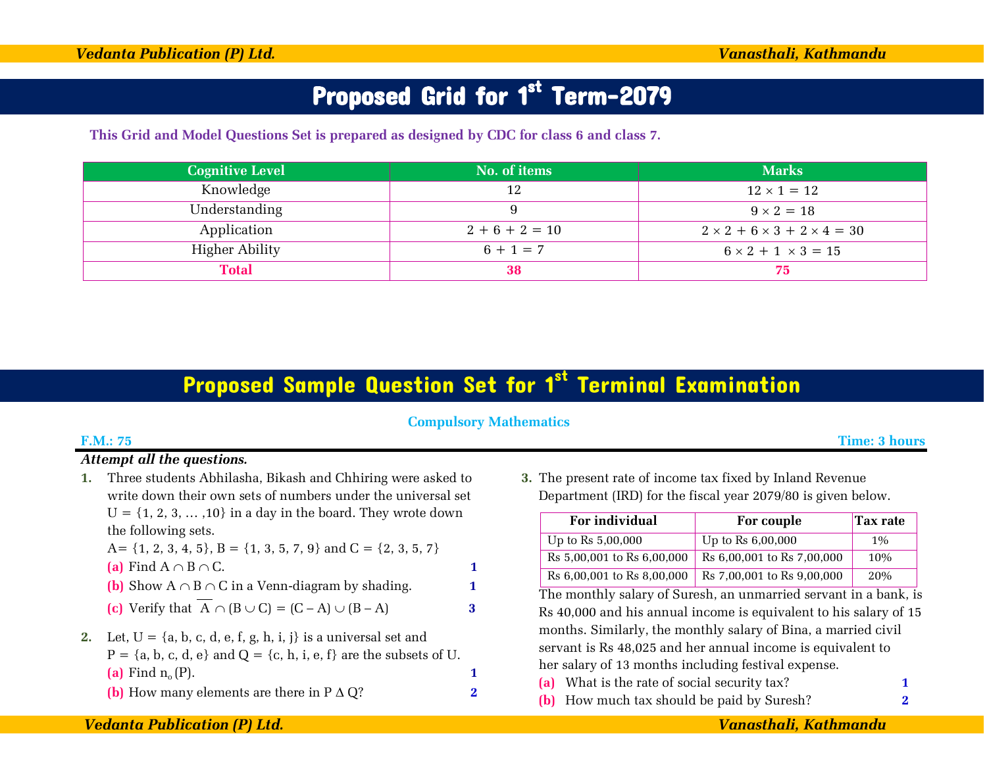# Proposed Grid for 1<sup>st</sup> Term-2079

**This Grid and Model Questions Set is prepared as designed by CDC for class 6 and class 7.**

| <b>Cognitive Level</b> | No. of items | <b>Marks</b>                                |
|------------------------|--------------|---------------------------------------------|
| Knowledge              | 12           | $12 \times 1 = 12$                          |
| Understanding          |              | $9 \times 2 = 18$                           |
| Application            | $2+6+2=10$   | $2 \times 2 + 6 \times 3 + 2 \times 4 = 30$ |
| Higher Ability         | $6 + 1 = 7$  | $6 \times 2 + 1 \times 3 = 15$              |
| <b>Total</b>           | 38           | 75                                          |

## Proposed Sample Question Set for 1<sup>st</sup> Terminal Examination

## **Compulsory Mathematics**

### **F.M.: 75 Time: 3 hours**

## *Attempt all the questions.*

**1.** Three students Abhilasha, Bikash and Chhiring were asked to write down their own sets of numbers under the universal set  $U = \{1, 2, 3, \ldots, 10\}$  in a day in the board. They wrote down the following sets.

A= {1, 2, 3, 4, 5}, B = {1, 3, 5, 7, 9} and C = {2, 3, 5, 7} **(a)** Find A B C. **1 (b)** Show A B C in a Venn-diagram by shading. **1**

- **(c)** Verify that  $\overline{A} \cap (B \cup C) = (C A) \cup (B A)$  3
- **2.** Let,  $U = \{a, b, c, d, e, f, g, h, i, j\}$  is a universal set and  $P = \{a, b, c, d, e\}$  and  $Q = \{c, h, i, e, f\}$  are the subsets of U.
	- **(a)** Find  $n_o(P)$ . **1**
	- **(b)** How many elements are there in  $P \triangle Q$ ? **2**

**3.** The present rate of income tax fixed by Inland Revenue Department (IRD) for the fiscal year 2079/80 is given below.

| For individual              | For couple                 | Tax rate |
|-----------------------------|----------------------------|----------|
| Up to $\text{Rs } 5,00,000$ | Up to Rs $6,00,000$        | $1\%$    |
| Rs 5,00,001 to Rs 6,00,000  | Rs 6,00,001 to Rs 7,00,000 | 10%      |
| Rs 6,00,001 to Rs 8,00,000  | Rs 7,00,001 to Rs 9,00,000 | 20%      |

The monthly salary of Suresh, an unmarried servant in a bank, is Rs 40,000 and his annual income is equivalent to his salary of 15 months. Similarly, the monthly salary of Bina, a married civil servant is Rs 48,025 and her annual income is equivalent to her salary of 13 months including festival expense.

- **(a)** What is the rate of social security tax? **1**
- **(b)** How much tax should be paid by Suresh? **2**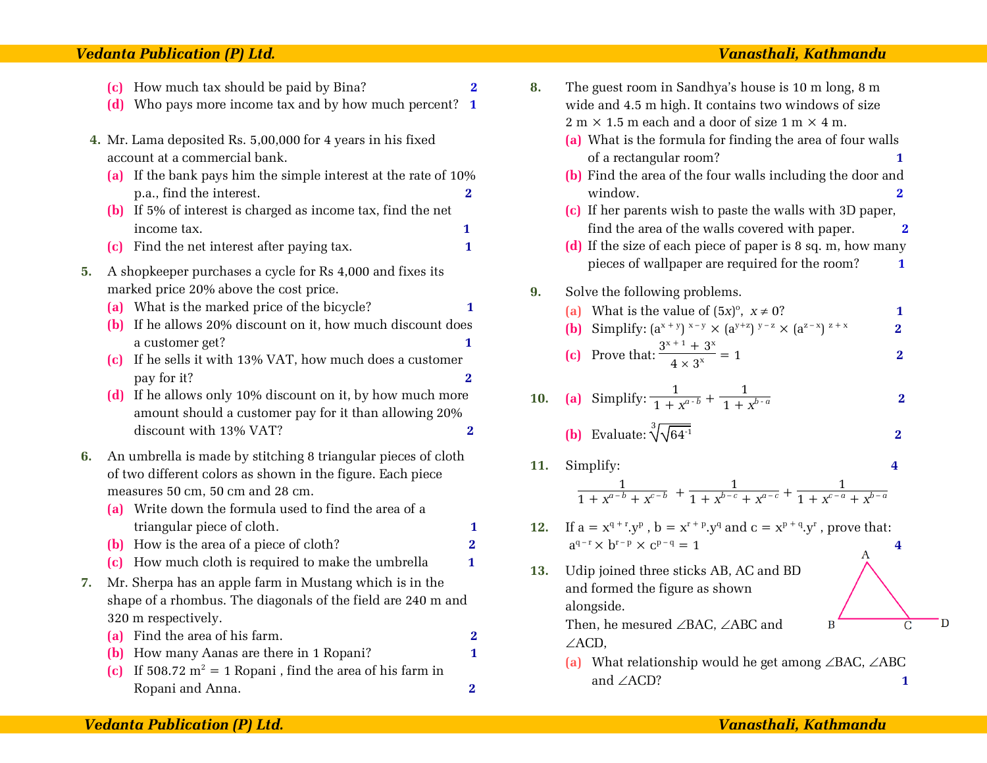### *Vedanta Publication (P) Ltd. Vanasthali, Kathmandu*

- **(c)** How much tax should be paid by Bina? **2**
- **(d)** Who pays more income tax and by how much percent? **1**
- **4.** Mr. Lama deposited Rs. 5,00,000 for 4 years in his fixed account at a commercial bank.
	- **(a)** If the bank pays him the simple interest at the rate of 10% p.a., find the interest. **2**
	- **(b)** If 5% of interest is charged as income tax, find the net income tax. **1**
	- **(c)** Find the net interest after paying tax. **1**
- **5.** A shopkeeper purchases a cycle for Rs 4,000 and fixes its marked price 20% above the cost price.
	- **(a)** What is the marked price of the bicycle? **1**
	- **(b)** If he allows 20% discount on it, how much discount does a customer get? **1**
	- **(c)** If he sells it with 13% VAT, how much does a customer pay for it? **2**
	- **(d)** If he allows only 10% discount on it, by how much more amount should a customer pay for it than allowing 20% discount with 13% VAT? **2**
- **6.** An umbrella is made by stitching 8 triangular pieces of cloth of two different colors as shown in the figure. Each piece measures 50 cm, 50 cm and 28 cm.
	- **(a)** Write down the formula used to find the area of a triangular piece of cloth. **1**
	- **(b)** How is the area of a piece of cloth? **2**
	- **(c)** How much cloth is required to make the umbrella **1**
- **7.** Mr. Sherpa has an apple farm in Mustang which is in the shape of a rhombus. The diagonals of the field are 240 m and 320 m respectively.
	- **(a)** Find the area of his farm. **2**
	- **(b)** How many Aanas are there in 1 Ropani? **1**
	- **(c)** If 508.72  $m^2 = 1$  Ropani, find the area of his farm in Ropani and Anna. **2**

| 8.  | The guest room in Sandhya's house is 10 m long, 8 m<br>wide and 4.5 m high. It contains two windows of size                 |                         |   |
|-----|-----------------------------------------------------------------------------------------------------------------------------|-------------------------|---|
|     | $2 m \times 1.5 m$ each and a door of size $1 m \times 4 m$ .                                                               |                         |   |
|     | (a) What is the formula for finding the area of four walls                                                                  |                         |   |
|     | of a rectangular room?                                                                                                      | 1                       |   |
|     | (b) Find the area of the four walls including the door and                                                                  |                         |   |
|     | window.                                                                                                                     | $\overline{\mathbf{2}}$ |   |
|     | (c) If her parents wish to paste the walls with 3D paper,                                                                   |                         |   |
|     | find the area of the walls covered with paper.                                                                              | 2                       |   |
|     | (d) If the size of each piece of paper is 8 sq. m, how many                                                                 |                         |   |
|     | pieces of wallpaper are required for the room?                                                                              | 1                       |   |
|     |                                                                                                                             |                         |   |
| 9.  | Solve the following problems.                                                                                               |                         |   |
|     | (a) What is the value of $(5x)^{\circ}$ , $x \neq 0$ ?                                                                      | 1                       |   |
|     | Simplify: $(a^{x + y})^{x - y} \times (a^{y + z})^{y - z} \times (a^{z - x})^{z + x}$<br>(b)                                | 2                       |   |
|     | (c) Prove that: $\frac{3^{x+1} + 3^x}{4 \times 3^x} = 1$                                                                    | $\bf{2}$                |   |
| 10. | (a) Simplify: $\frac{1}{1+x^{a-b}} + \frac{1}{1+x^{b-a}}$                                                                   | $\overline{\mathbf{2}}$ |   |
|     | (b) Evaluate: $\sqrt[3]{\sqrt{64}}$ <sup>-1</sup>                                                                           | $\bf{2}$                |   |
| 11. | Simplify:                                                                                                                   | 4                       |   |
|     | $\frac{1}{1 + x^{a-b} + x^{c-b}} + \frac{1}{1 + x^{b-c} + x^{a-c}} + \frac{1}{1 + x^{c-a} + x^{b-a}}$                       |                         |   |
| 12. | If $a = x^{q+r}.y^p$ , $b = x^{r+p}.y^q$ and $c = x^{p+q}.y^r$ , prove that:<br>$a^{q-r} \times b^{r-p} \times c^{p-q} = 1$ | 4                       |   |
| 13. | A<br>Udip joined three sticks AB, AC and BD                                                                                 |                         |   |
|     | and formed the figure as shown                                                                                              |                         |   |
|     | alongside.                                                                                                                  |                         |   |
|     | Then, he mesured ∠BAC, ∠ABC and<br>B                                                                                        | Ċ                       | D |
|     |                                                                                                                             |                         |   |
|     | $\angle$ ACD,                                                                                                               |                         |   |
|     | (a) What relationship would he get among $\angle BAC$ , $\angle ABC$                                                        |                         |   |
|     | and ∠ACD?                                                                                                                   | 1                       |   |